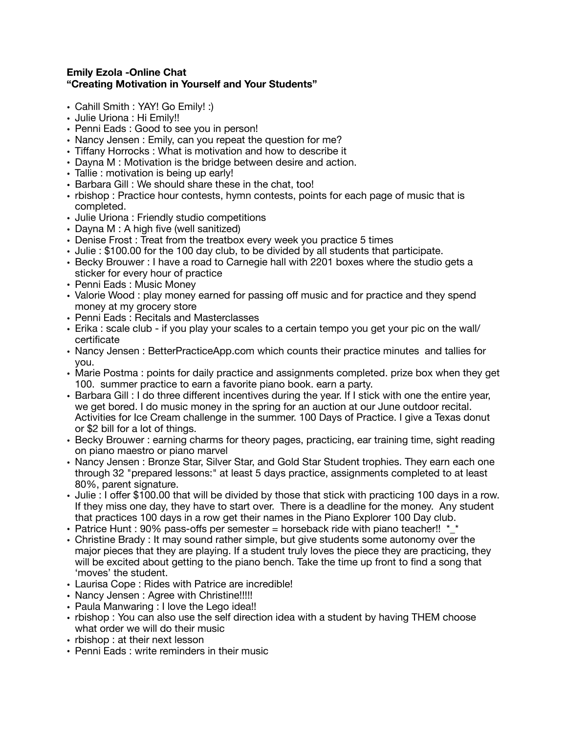## **Emily Ezola -Online Chat "Creating Motivation in Yourself and Your Students"**

- Cahill Smith : YAY! Go Emily! :)
- Julie Uriona : Hi Emily!!
- Penni Eads : Good to see you in person!
- Nancy Jensen : Emily, can you repeat the question for me?
- Tiffany Horrocks : What is motivation and how to describe it
- Dayna M : Motivation is the bridge between desire and action.
- Tallie : motivation is being up early!
- Barbara Gill : We should share these in the chat, too!
- rbishop : Practice hour contests, hymn contests, points for each page of music that is completed.
- Julie Uriona : Friendly studio competitions
- Dayna M : A high five (well sanitized)
- Denise Frost : Treat from the treatbox every week you practice 5 times
- Julie : \$100.00 for the 100 day club, to be divided by all students that participate.
- Becky Brouwer : I have a road to Carnegie hall with 2201 boxes where the studio gets a sticker for every hour of practice
- Penni Eads : Music Money
- Valorie Wood : play money earned for passing off music and for practice and they spend money at my grocery store
- Penni Eads : Recitals and Masterclasses
- Erika : scale club if you play your scales to a certain tempo you get your pic on the wall/ certificate
- Nancy Jensen : BetterPracticeApp.com which counts their practice minutes and tallies for you.
- Marie Postma : points for daily practice and assignments completed. prize box when they get 100. summer practice to earn a favorite piano book. earn a party.
- Barbara Gill : I do three different incentives during the year. If I stick with one the entire year, we get bored. I do music money in the spring for an auction at our June outdoor recital. Activities for Ice Cream challenge in the summer. 100 Days of Practice. I give a Texas donut or \$2 bill for a lot of things.
- Becky Brouwer : earning charms for theory pages, practicing, ear training time, sight reading on piano maestro or piano marvel
- Nancy Jensen : Bronze Star, Silver Star, and Gold Star Student trophies. They earn each one through 32 "prepared lessons:" at least 5 days practice, assignments completed to at least 80%, parent signature.
- Julie : I offer \$100.00 that will be divided by those that stick with practicing 100 days in a row. If they miss one day, they have to start over. There is a deadline for the money. Any student that practices 100 days in a row get their names in the Piano Explorer 100 Day club.
- Patrice Hunt : 90% pass-offs per semester = horseback ride with piano teacher!!  $*_{\_}^*$
- Christine Brady : It may sound rather simple, but give students some autonomy over the major pieces that they are playing. If a student truly loves the piece they are practicing, they will be excited about getting to the piano bench. Take the time up front to find a song that 'moves' the student.
- Laurisa Cope : Rides with Patrice are incredible!
- Nancy Jensen : Agree with Christine!!!!!
- Paula Manwaring : I love the Lego idea!!
- rbishop : You can also use the self direction idea with a student by having THEM choose what order we will do their music
- rbishop : at their next lesson
- Penni Eads : write reminders in their music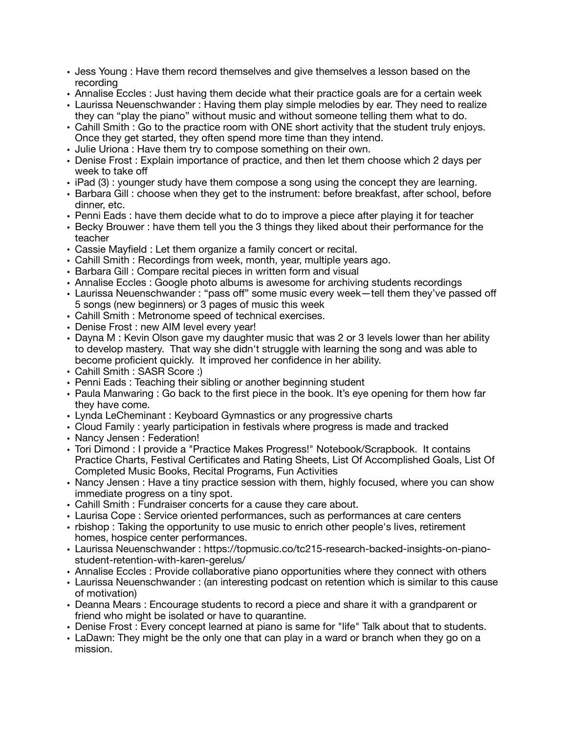- Jess Young : Have them record themselves and give themselves a lesson based on the recording
- Annalise Eccles : Just having them decide what their practice goals are for a certain week
- Laurissa Neuenschwander : Having them play simple melodies by ear. They need to realize they can "play the piano" without music and without someone telling them what to do.
- Cahill Smith : Go to the practice room with ONE short activity that the student truly enjoys. Once they get started, they often spend more time than they intend.
- Julie Uriona : Have them try to compose something on their own.
- Denise Frost : Explain importance of practice, and then let them choose which 2 days per week to take off
- iPad (3) : younger study have them compose a song using the concept they are learning.
- Barbara Gill : choose when they get to the instrument: before breakfast, after school, before dinner, etc.
- Penni Eads : have them decide what to do to improve a piece after playing it for teacher
- Becky Brouwer : have them tell you the 3 things they liked about their performance for the teacher
- Cassie Mayfield : Let them organize a family concert or recital.
- Cahill Smith : Recordings from week, month, year, multiple years ago.
- Barbara Gill : Compare recital pieces in written form and visual
- Annalise Eccles : Google photo albums is awesome for archiving students recordings
- Laurissa Neuenschwander : "pass off" some music every week—tell them they've passed off 5 songs (new beginners) or 3 pages of music this week
- Cahill Smith : Metronome speed of technical exercises.
- Denise Frost : new AIM level every year!
- Dayna M : Kevin Olson gave my daughter music that was 2 or 3 levels lower than her ability to develop mastery. That way she didn't struggle with learning the song and was able to become proficient quickly. It improved her confidence in her ability.
- Cahill Smith : SASR Score :)
- Penni Eads : Teaching their sibling or another beginning student
- Paula Manwaring : Go back to the first piece in the book. It's eye opening for them how far they have come.
- Lynda LeCheminant : Keyboard Gymnastics or any progressive charts
- Cloud Family : yearly participation in festivals where progress is made and tracked
- Nancy Jensen : Federation!
- Tori Dimond : I provide a "Practice Makes Progress!" Notebook/Scrapbook. It contains Practice Charts, Festival Certificates and Rating Sheets, List Of Accomplished Goals, List Of Completed Music Books, Recital Programs, Fun Activities
- Nancy Jensen : Have a tiny practice session with them, highly focused, where you can show immediate progress on a tiny spot.
- Cahill Smith : Fundraiser concerts for a cause they care about.
- Laurisa Cope : Service oriented performances, such as performances at care centers
- rbishop : Taking the opportunity to use music to enrich other people's lives, retirement homes, hospice center performances.
- Laurissa Neuenschwander : https://topmusic.co/tc215-research-backed-insights-on-pianostudent-retention-with-karen-gerelus/
- Annalise Eccles : Provide collaborative piano opportunities where they connect with others
- Laurissa Neuenschwander : (an interesting podcast on retention which is similar to this cause of motivation)
- Deanna Mears : Encourage students to record a piece and share it with a grandparent or friend who might be isolated or have to quarantine.
- Denise Frost : Every concept learned at piano is same for "life" Talk about that to students.
- LaDawn: They might be the only one that can play in a ward or branch when they go on a mission.